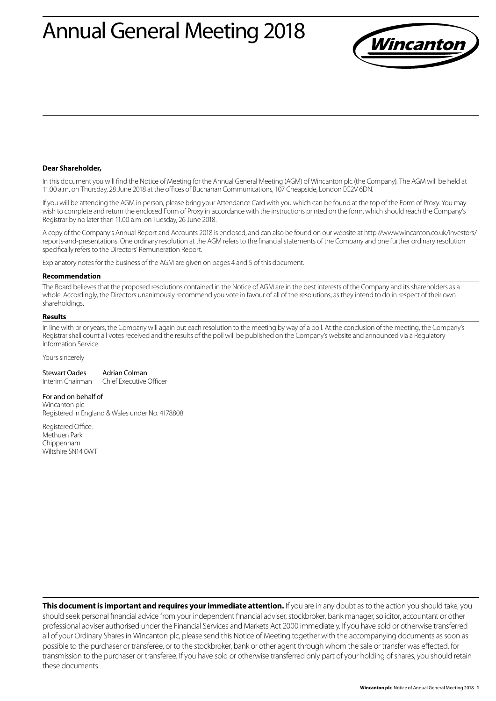# Annual General Meeting 2018



#### **Dear Shareholder,**

In this document you will find the Notice of Meeting for the Annual General Meeting (AGM) of Wincanton plc (the Company). The AGM will be held at 11.00 a.m. on Thursday, 28 June 2018 at the offices of Buchanan Communications, 107 Cheapside, London EC2V 6DN.

If you will be attending the AGM in person, please bring your Attendance Card with you which can be found at the top of the Form of Proxy. You may wish to complete and return the enclosed Form of Proxy in accordance with the instructions printed on the form, which should reach the Company's Registrar by no later than 11.00 a.m. on Tuesday, 26 June 2018.

A copy of the Company's Annual Report and Accounts 2018 is enclosed, and can also be found on our website at http://www.wincanton.co.uk/investors/ reports-and-presentations. One ordinary resolution at the AGM refers to the financial statements of the Company and one further ordinary resolution specifically refers to the Directors' Remuneration Report.

Explanatory notes for the business of the AGM are given on pages 4 and 5 of this document.

#### **Recommendation**

The Board believes that the proposed resolutions contained in the Notice of AGM are in the best interests of the Company and its shareholders as a whole. Accordingly, the Directors unanimously recommend you vote in favour of all of the resolutions, as they intend to do in respect of their own shareholdings.

#### **Results**

In line with prior years, the Company will again put each resolution to the meeting by way of a poll. At the conclusion of the meeting, the Company's Registrar shall count all votes received and the results of the poll will be published on the Company's website and announced via a Regulatory Information Service.

#### Yours sincerely

| <b>Stewart Oades</b> | Adrian Colman           |
|----------------------|-------------------------|
| Interim Chairman     | Chief Executive Officer |

## For and on behalf of

Wincanton plc Registered in England & Wales under No. 4178808

Registered Office: Methuen Park Chippenham Wiltshire SN14 0WT

**This document is important and requires your immediate attention.** If you are in any doubt as to the action you should take, you should seek personal financial advice from your independent financial adviser, stockbroker, bank manager, solicitor, accountant or other professional adviser authorised under the Financial Services and Markets Act 2000 immediately. If you have sold or otherwise transferred all of your Ordinary Shares in Wincanton plc, please send this Notice of Meeting together with the accompanying documents as soon as possible to the purchaser or transferee, or to the stockbroker, bank or other agent through whom the sale or transfer was effected, for transmission to the purchaser or transferee. If you have sold or otherwise transferred only part of your holding of shares, you should retain these documents.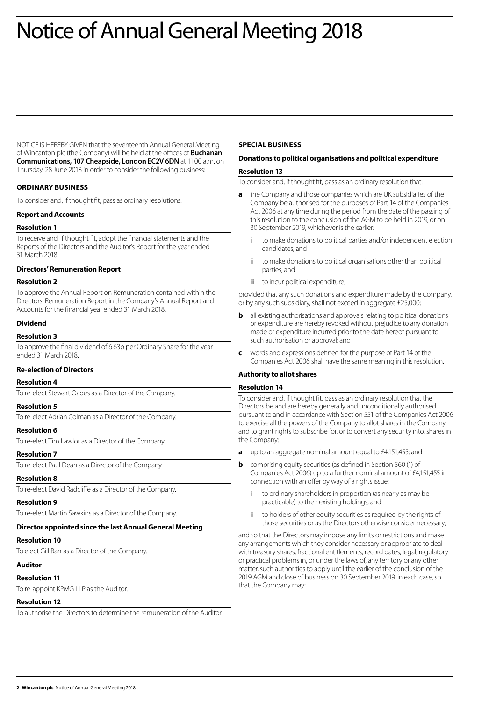# Notice of Annual General Meeting 2018

NOTICE IS HEREBY GIVEN that the seventeenth Annual General Meeting of Wincanton plc (the Company) will be held at the offices of **Buchanan Communications, 107 Cheapside, London EC2V 6DN** at 11.00 a.m. on Thursday, 28 June 2018 in order to consider the following business:

## **ORDINARY BUSINESS**

To consider and, if thought fit, pass as ordinary resolutions:

## **Report and Accounts**

### **Resolution 1**

To receive and, if thought fit, adopt the financial statements and the Reports of the Directors and the Auditor's Report for the year ended 31 March 2018.

## **Directors' Remuneration Report**

### **Resolution 2**

To approve the Annual Report on Remuneration contained within the Directors' Remuneration Report in the Company's Annual Report and Accounts for the financial year ended 31 March 2018.

## **Dividend**

#### **Resolution 3**

To approve the final dividend of 6.63p per Ordinary Share for the year ended 31 March 2018.

## **Re-election of Directors**

#### **Resolution 4**

To re-elect Stewart Oades as a Director of the Company.

## **Resolution 5** To re-elect Adrian Colman as a Director of the Company.

**Resolution 6**

To re-elect Tim Lawlor as a Director of the Company.

#### **Resolution 7**

To re-elect Paul Dean as a Director of the Company.

## **Resolution 8**

To re-elect David Radcliffe as a Director of the Company.

#### **Resolution 9**

To re-elect Martin Sawkins as a Director of the Company.

#### **Director appointed since the last Annual General Meeting**

#### **Resolution 10**

To elect Gill Barr as a Director of the Company.

## **Auditor**

#### **Resolution 11**

To re-appoint KPMG LLP as the Auditor.

#### **Resolution 12**

To authorise the Directors to determine the remuneration of the Auditor.

## **SPECIAL BUSINESS**

## **Donations to political organisations and political expenditure**

### **Resolution 13**

To consider and, if thought fit, pass as an ordinary resolution that:

- **a** the Company and those companies which are UK subsidiaries of the Company be authorised for the purposes of Part 14 of the Companies Act 2006 at any time during the period from the date of the passing of this resolution to the conclusion of the AGM to be held in 2019, or on 30 September 2019, whichever is the earlier:
	- to make donations to political parties and/or independent election candidates; and
	- ii to make donations to political organisations other than political parties; and
	- iii to incur political expenditure;

provided that any such donations and expenditure made by the Company, or by any such subsidiary, shall not exceed in aggregate £25,000;

- **b** all existing authorisations and approvals relating to political donations or expenditure are hereby revoked without prejudice to any donation made or expenditure incurred prior to the date hereof pursuant to such authorisation or approval; and
- **c** words and expressions defined for the purpose of Part 14 of the Companies Act 2006 shall have the same meaning in this resolution.

## **Authority to allot shares**

#### **Resolution 14**

To consider and, if thought fit, pass as an ordinary resolution that the Directors be and are hereby generally and unconditionally authorised pursuant to and in accordance with Section 551 of the Companies Act 2006 to exercise all the powers of the Company to allot shares in the Company and to grant rights to subscribe for, or to convert any security into, shares in the Company:

- **a** up to an aggregate nominal amount equal to £4,151,455; and
- **b** comprising equity securities (as defined in Section 560 (1) of Companies Act 2006) up to a further nominal amount of £4,151,455 in connection with an offer by way of a rights issue:
	- to ordinary shareholders in proportion (as nearly as may be practicable) to their existing holdings; and
	- ii to holders of other equity securities as required by the rights of those securities or as the Directors otherwise consider necessary;

and so that the Directors may impose any limits or restrictions and make any arrangements which they consider necessary or appropriate to deal with treasury shares, fractional entitlements, record dates, legal, regulatory or practical problems in, or under the laws of, any territory or any other matter, such authorities to apply until the earlier of the conclusion of the 2019 AGM and close of business on 30 September 2019, in each case, so that the Company may: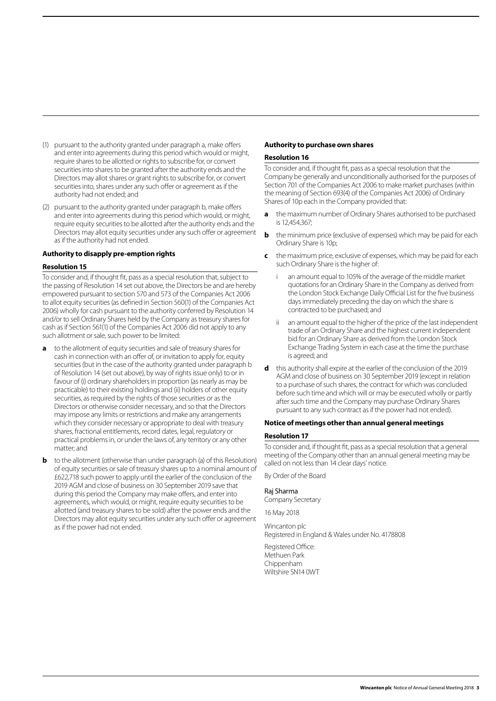- (1) pursuant to the authority granted under paragraph a, make offers and enter into agreements during this period which would or might, require shares to be allotted or rights to subscribe for, or convert securities into shares to be granted after the authority ends and the Directors may allot shares or grant rights to subscribe for, or convert securities into, shares under any such offer or agreement as if the authority had not ended; and
- (2) pursuant to the authority granted under paragraph b, make offers and enter into agreements during this period which would, or might, require equity securities to be allotted after the authority ends and the Directors may allot equity securities under any such offer or agreement as if the authority had not ended.

### **Authority to disapply pre-emption rights**

### **Resolution 15**

To consider and, if thought fit, pass as a special resolution that, subject to the passing of Resolution 14 set out above, the Directors be and are hereby empowered pursuant to section 570 and 573 of the Companies Act 2006 to allot equity securities (as defined in Section 560(1) of the Companies Act 2006) wholly for cash pursuant to the authority conferred by Resolution 14 and/or to sell Ordinary Shares held by the Company as treasury shares for cash as if Section 561(1) of the Companies Act 2006 did not apply to any such allotment or sale, such power to be limited:

- **a** to the allotment of equity securities and sale of treasury shares for cash in connection with an offer of, or invitation to apply for, equity securities (but in the case of the authority granted under paragraph b of Resolution 14 (set out above), by way of rights issue only) to or in favour of (i) ordinary shareholders in proportion (as nearly as may be practicable) to their existing holdings and (ii) holders of other equity securities, as required by the rights of those securities or as the Directors or otherwise consider necessary, and so that the Directors may impose any limits or restrictions and make any arrangements which they consider necessary or appropriate to deal with treasury shares, fractional entitlements, record dates, legal, regulatory or practical problems in, or under the laws of, any territory or any other matter; and
- **b** to the allotment (otherwise than under paragraph (a) of this Resolution) of equity securities or sale of treasury shares up to a nominal amount of £622,718 such power to apply until the earlier of the conclusion of the 2019 AGM and close of business on 30 September 2019 save that during this period the Company may make offers, and enter into agreements, which would, or might, require equity securities to be allotted (and treasury shares to be sold) after the power ends and the Directors may allot equity securities under any such offer or agreement as if the power had not ended.

## **Authority to purchase own shares**

#### **Resolution 16**

To consider and, if thought fit, pass as a special resolution that the Company be generally and unconditionally authorised for the purposes of Section 701 of the Companies Act 2006 to make market purchases (within the meaning of Section 693(4) of the Companies Act 2006) of Ordinary Shares of 10p each in the Company provided that:

- **a** the maximum number of Ordinary Shares authorised to be purchased is 12,454,367;
- **b** the minimum price (exclusive of expenses) which may be paid for each Ordinary Share is 10p;
- **c** the maximum price, exclusive of expenses, which may be paid for each such Ordinary Share is the higher of:
	- an amount equal to 105% of the average of the middle market quotations for an Ordinary Share in the Company as derived from the London Stock Exchange Daily Official List for the five business days immediately preceding the day on which the share is contracted to be purchased; and
	- an amount equal to the higher of the price of the last independent trade of an Ordinary Share and the highest current independent bid for an Ordinary Share as derived from the London Stock Exchange Trading System in each case at the time the purchase is agreed; and
- **d** this authority shall expire at the earlier of the conclusion of the 2019 AGM and close of business on 30 September 2019 (except in relation to a purchase of such shares, the contract for which was concluded before such time and which will or may be executed wholly or partly after such time and the Company may purchase Ordinary Shares pursuant to any such contract as if the power had not ended).

## **Notice of meetings other than annual general meetings**

#### **Resolution 17**

To consider and, if thought fit, pass as a special resolution that a general meeting of the Company other than an annual general meeting may be called on not less than 14 clear days' notice.

By Order of the Board

#### Raj Sharma

Company Secretary

16 May 2018

Wincanton plc Registered in England & Wales under No. 4178808

Registered Office: Methuen Park Chippenham Wiltshire SN14 0WT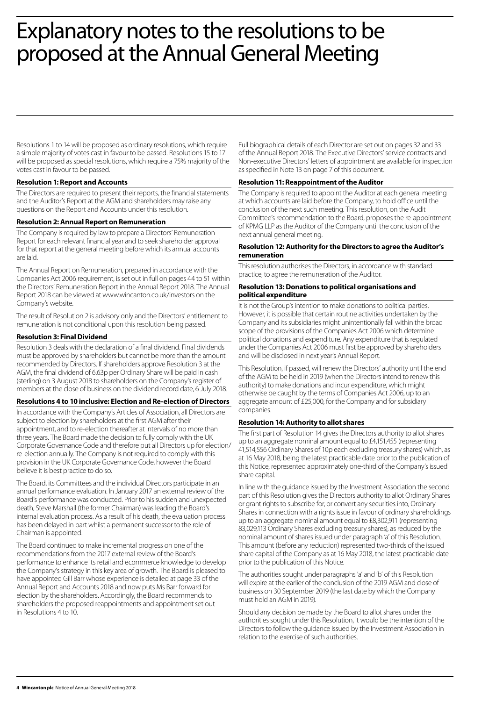## Explanatory notes to the resolutions to be proposed at the Annual General Meeting

Resolutions 1 to 14 will be proposed as ordinary resolutions, which require a simple majority of votes cast in favour to be passed. Resolutions 15 to 17 will be proposed as special resolutions, which require a 75% majority of the votes cast in favour to be passed.

## **Resolution 1: Report and Accounts**

The Directors are required to present their reports, the financial statements and the Auditor's Report at the AGM and shareholders may raise any questions on the Report and Accounts under this resolution.

## **Resolution 2: Annual Report on Remuneration**

The Company is required by law to prepare a Directors' Remuneration Report for each relevant financial year and to seek shareholder approval for that report at the general meeting before which its annual accounts are laid.

The Annual Report on Remuneration, prepared in accordance with the Companies Act 2006 requirement, is set out in full on pages 44 to 51 within the Directors' Remuneration Report in the Annual Report 2018. The Annual Report 2018 can be viewed at www.wincanton.co.uk/investors on the Company's website.

The result of Resolution 2 is advisory only and the Directors' entitlement to remuneration is not conditional upon this resolution being passed.

## **Resolution 3: Final Dividend**

Resolution 3 deals with the declaration of a final dividend. Final dividends must be approved by shareholders but cannot be more than the amount recommended by Directors. If shareholders approve Resolution 3 at the AGM, the final dividend of 6.63p per Ordinary Share will be paid in cash (sterling) on 3 August 2018 to shareholders on the Company's register of members at the close of business on the dividend record date, 6 July 2018.

## **Resolutions 4 to 10 inclusive: Election and Re-election of Directors**

In accordance with the Company's Articles of Association, all Directors are subject to election by shareholders at the first AGM after their appointment, and to re-election thereafter at intervals of no more than three years. The Board made the decision to fully comply with the UK Corporate Governance Code and therefore put all Directors up for election/ re-election annually. The Company is not required to comply with this provision in the UK Corporate Governance Code, however the Board believe it is best practice to do so.

The Board, its Committees and the individual Directors participate in an annual performance evaluation. In January 2017 an external review of the Board's performance was conducted. Prior to his sudden and unexpected death, Steve Marshall (the former Chairman) was leading the Board's internal evaluation process. As a result of his death, the evaluation process has been delayed in part whilst a permanent successor to the role of Chairman is appointed.

The Board continued to make incremental progress on one of the recommendations from the 2017 external review of the Board's performance to enhance its retail and ecommerce knowledge to develop the Company's strategy in this key area of growth. The Board is pleased to have appointed Gill Barr whose experience is detailed at page 33 of the Annual Report and Accounts 2018 and now puts Ms Barr forward for election by the shareholders. Accordingly, the Board recommends to shareholders the proposed reappointments and appointment set out in Resolutions 4 to 10.

Full biographical details of each Director are set out on pages 32 and 33 of the Annual Report 2018. The Executive Directors' service contracts and Non-executive Directors' letters of appointment are available for inspection as specified in Note 13 on page 7 of this document.

## **Resolution 11: Reappointment of the Auditor**

The Company is required to appoint the Auditor at each general meeting at which accounts are laid before the Company, to hold office until the conclusion of the next such meeting. This resolution, on the Audit Committee's recommendation to the Board, proposes the re-appointment of KPMG LLP as the Auditor of the Company until the conclusion of the next annual general meeting.

## **Resolution 12: Authority for the Directors to agree the Auditor's remuneration**

This resolution authorises the Directors, in accordance with standard practice, to agree the remuneration of the Auditor.

## **Resolution 13: Donations to political organisations and political expenditure**

It is not the Group's intention to make donations to political parties. However, it is possible that certain routine activities undertaken by the Company and its subsidiaries might unintentionally fall within the broad scope of the provisions of the Companies Act 2006 which determine political donations and expenditure. Any expenditure that is regulated under the Companies Act 2006 must first be approved by shareholders and will be disclosed in next year's Annual Report.

This Resolution, if passed, will renew the Directors' authority until the end of the AGM to be held in 2019 (when the Directors intend to renew this authority) to make donations and incur expenditure, which might otherwise be caught by the terms of Companies Act 2006, up to an aggregate amount of £25,000, for the Company and for subsidiary companies.

## **Resolution 14: Authority to allot shares**

The first part of Resolution 14 gives the Directors authority to allot shares up to an aggregate nominal amount equal to £4,151,455 (representing 41,514,556 Ordinary Shares of 10p each excluding treasury shares) which, as at 16 May 2018, being the latest practicable date prior to the publication of this Notice, represented approximately one-third of the Company's issued share capital.

In line with the guidance issued by the Investment Association the second part of this Resolution gives the Directors authority to allot Ordinary Shares or grant rights to subscribe for, or convert any securities into, Ordinary Shares in connection with a rights issue in favour of ordinary shareholdings up to an aggregate nominal amount equal to £8,302,911 (representing 83,029,113 Ordinary Shares excluding treasury shares), as reduced by the nominal amount of shares issued under paragraph 'a' of this Resolution. This amount (before any reduction) represented two-thirds of the issued share capital of the Company as at 16 May 2018, the latest practicable date prior to the publication of this Notice.

The authorities sought under paragraphs 'a' and 'b' of this Resolution will expire at the earlier of the conclusion of the 2019 AGM and close of business on 30 September 2019 (the last date by which the Company must hold an AGM in 2019).

Should any decision be made by the Board to allot shares under the authorities sought under this Resolution, it would be the intention of the Directors to follow the guidance issued by the Investment Association in relation to the exercise of such authorities.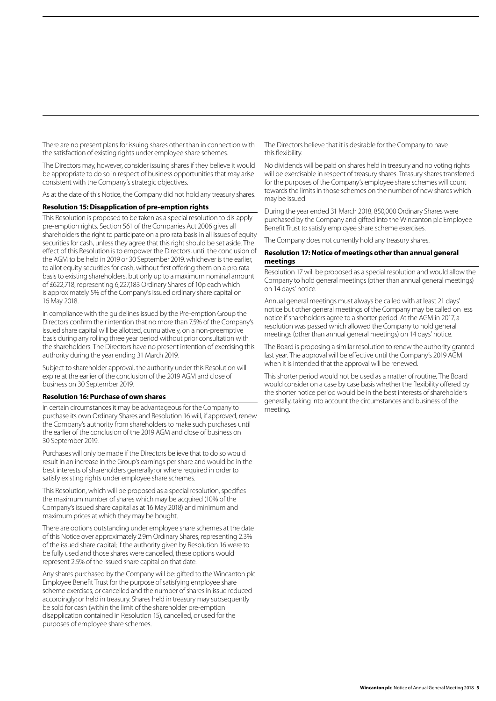There are no present plans for issuing shares other than in connection with the satisfaction of existing rights under employee share schemes.

The Directors may, however, consider issuing shares if they believe it would be appropriate to do so in respect of business opportunities that may arise consistent with the Company's strategic objectives.

As at the date of this Notice, the Company did not hold any treasury shares.

### **Resolution 15: Disapplication of pre-emption rights**

This Resolution is proposed to be taken as a special resolution to dis-apply pre-emption rights. Section 561 of the Companies Act 2006 gives all shareholders the right to participate on a pro rata basis in all issues of equity securities for cash, unless they agree that this right should be set aside. The effect of this Resolution is to empower the Directors, until the conclusion of the AGM to be held in 2019 or 30 September 2019, whichever is the earlier, to allot equity securities for cash, without first offering them on a pro rata basis to existing shareholders, but only up to a maximum nominal amount of £622,718, representing 6,227,183 Ordinary Shares of 10p each which is approximately 5% of the Company's issued ordinary share capital on 16 May 2018.

In compliance with the guidelines issued by the Pre-emption Group the Directors confirm their intention that no more than 7.5% of the Company's issued share capital will be allotted, cumulatively, on a non-preemptive basis during any rolling three year period without prior consultation with the shareholders. The Directors have no present intention of exercising this authority during the year ending 31 March 2019.

Subject to shareholder approval, the authority under this Resolution will expire at the earlier of the conclusion of the 2019 AGM and close of business on 30 September 2019.

### **Resolution 16: Purchase of own shares**

In certain circumstances it may be advantageous for the Company to purchase its own Ordinary Shares and Resolution 16 will, if approved, renew the Company's authority from shareholders to make such purchases until the earlier of the conclusion of the 2019 AGM and close of business on 30 September 2019.

Purchases will only be made if the Directors believe that to do so would result in an increase in the Group's earnings per share and would be in the best interests of shareholders generally; or where required in order to satisfy existing rights under employee share schemes.

This Resolution, which will be proposed as a special resolution, specifies the maximum number of shares which may be acquired (10% of the Company's issued share capital as at 16 May 2018) and minimum and maximum prices at which they may be bought.

There are options outstanding under employee share schemes at the date of this Notice over approximately 2.9m Ordinary Shares, representing 2.3% of the issued share capital; if the authority given by Resolution 16 were to be fully used and those shares were cancelled, these options would represent 2.5% of the issued share capital on that date.

Any shares purchased by the Company will be: gifted to the Wincanton plc Employee Benefit Trust for the purpose of satisfying employee share scheme exercises; or cancelled and the number of shares in issue reduced accordingly; or held in treasury. Shares held in treasury may subsequently be sold for cash (within the limit of the shareholder pre-emption disapplication contained in Resolution 15), cancelled, or used for the purposes of employee share schemes.

The Directors believe that it is desirable for the Company to have this flexibility.

No dividends will be paid on shares held in treasury and no voting rights will be exercisable in respect of treasury shares. Treasury shares transferred for the purposes of the Company's employee share schemes will count towards the limits in those schemes on the number of new shares which may be issued.

During the year ended 31 March 2018, 850,000 Ordinary Shares were purchased by the Company and gifted into the Wincanton plc Employee Benefit Trust to satisfy employee share scheme exercises.

The Company does not currently hold any treasury shares.

## **Resolution 17: Notice of meetings other than annual general meetings**

Resolution 17 will be proposed as a special resolution and would allow the Company to hold general meetings (other than annual general meetings) on 14 days' notice.

Annual general meetings must always be called with at least 21 days' notice but other general meetings of the Company may be called on less notice if shareholders agree to a shorter period. At the AGM in 2017, a resolution was passed which allowed the Company to hold general meetings (other than annual general meetings) on 14 days' notice.

The Board is proposing a similar resolution to renew the authority granted last year. The approval will be effective until the Company's 2019 AGM when it is intended that the approval will be renewed.

This shorter period would not be used as a matter of routine. The Board would consider on a case by case basis whether the flexibility offered by the shorter notice period would be in the best interests of shareholders generally, taking into account the circumstances and business of the meeting.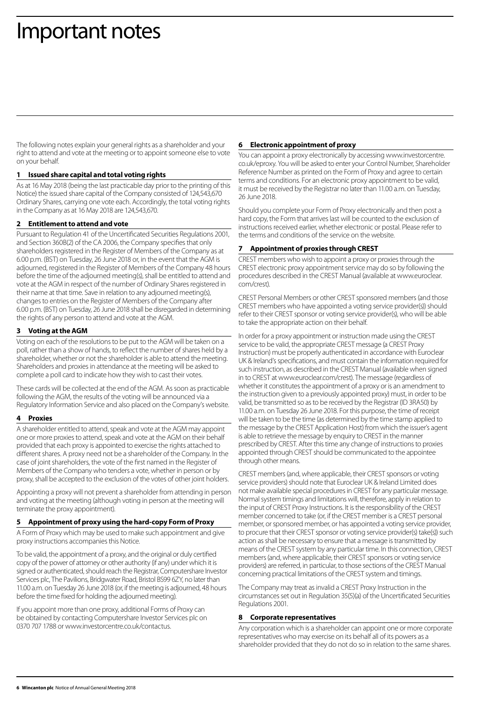## Important notes

The following notes explain your general rights as a shareholder and your right to attend and vote at the meeting or to appoint someone else to vote on your behalf.

## **1 Issued share capital and total voting rights**

As at 16 May 2018 (being the last practicable day prior to the printing of this Notice) the issued share capital of the Company consisted of 124,543,670 Ordinary Shares, carrying one vote each. Accordingly, the total voting rights in the Company as at 16 May 2018 are 124,543,670.

### **2 Entitlement to attend and vote**

Pursuant to Regulation 41 of the Uncertificated Securities Regulations 2001, and Section 360B(2) of the CA 2006, the Company specifies that only shareholders registered in the Register of Members of the Company as at 6.00 p.m. (BST) on Tuesday, 26 June 2018 or, in the event that the AGM is adjourned, registered in the Register of Members of the Company 48 hours before the time of the adjourned meeting(s), shall be entitled to attend and vote at the AGM in respect of the number of Ordinary Shares registered in their name at that time. Save in relation to any adjourned meeting(s), changes to entries on the Register of Members of the Company after 6.00 p.m. (BST) on Tuesday, 26 June 2018 shall be disregarded in determining the rights of any person to attend and vote at the AGM.

### **3 Voting at the AGM**

Voting on each of the resolutions to be put to the AGM will be taken on a poll, rather than a show of hands, to reflect the number of shares held by a shareholder, whether or not the shareholder is able to attend the meeting. Shareholders and proxies in attendance at the meeting will be asked to complete a poll card to indicate how they wish to cast their votes.

These cards will be collected at the end of the AGM. As soon as practicable following the AGM, the results of the voting will be announced via a Regulatory Information Service and also placed on the Company's website.

#### **4 Proxies**

A shareholder entitled to attend, speak and vote at the AGM may appoint one or more proxies to attend, speak and vote at the AGM on their behalf provided that each proxy is appointed to exercise the rights attached to different shares. A proxy need not be a shareholder of the Company. In the case of joint shareholders, the vote of the first named in the Register of Members of the Company who tenders a vote, whether in person or by proxy, shall be accepted to the exclusion of the votes of other joint holders.

Appointing a proxy will not prevent a shareholder from attending in person and voting at the meeting (although voting in person at the meeting will terminate the proxy appointment).

#### **5 Appointment of proxy using the hard-copy Form of Proxy**

A Form of Proxy which may be used to make such appointment and give proxy instructions accompanies this Notice.

To be valid, the appointment of a proxy, and the original or duly certified copy of the power of attorney or other authority (if any) under which it is signed or authenticated, should reach the Registrar, Computershare Investor Services plc, The Pavilions, Bridgwater Road, Bristol BS99 6ZY, no later than 11.00 a.m. on Tuesday 26 June 2018 (or, if the meeting is adjourned, 48 hours before the time fixed for holding the adjourned meeting).

If you appoint more than one proxy, additional Forms of Proxy can be obtained by contacting Computershare Investor Services plc on 0370 707 1788 or www.investorcentre.co.uk/contactus.

#### **6 Electronic appointment of proxy**

You can appoint a proxy electronically by accessing www.investorcentre. co.uk/eproxy. You will be asked to enter your Control Number, Shareholder Reference Number as printed on the Form of Proxy and agree to certain terms and conditions. For an electronic proxy appointment to be valid, it must be received by the Registrar no later than 11.00 a.m. on Tuesday, 26 June 2018.

Should you complete your Form of Proxy electronically and then post a hard copy, the Form that arrives last will be counted to the exclusion of instructions received earlier, whether electronic or postal. Please refer to the terms and conditions of the service on the website.

### **7 Appointment of proxies through CREST**

CREST members who wish to appoint a proxy or proxies through the CREST electronic proxy appointment service may do so by following the procedures described in the CREST Manual (available at www.euroclear. com/crest).

CREST Personal Members or other CREST sponsored members (and those CREST members who have appointed a voting service provider(s)) should refer to their CREST sponsor or voting service provider(s), who will be able to take the appropriate action on their behalf.

In order for a proxy appointment or instruction made using the CREST service to be valid, the appropriate CREST message (a CREST Proxy Instruction) must be properly authenticated in accordance with Euroclear UK & Ireland's specifications, and must contain the information required for such instruction, as described in the CREST Manual (available when signed in to CREST at www.euroclear.com/crest). The message (regardless of whether it constitutes the appointment of a proxy or is an amendment to the instruction given to a previously appointed proxy) must, in order to be valid, be transmitted so as to be received by the Registrar (ID 3RA50) by 11.00 a.m. on Tuesday 26 June 2018. For this purpose, the time of receipt will be taken to be the time (as determined by the time stamp applied to the message by the CREST Application Host) from which the issuer's agent is able to retrieve the message by enquiry to CREST in the manner prescribed by CREST. After this time any change of instructions to proxies appointed through CREST should be communicated to the appointee through other means.

CREST members (and, where applicable, their CREST sponsors or voting service providers) should note that Euroclear UK & Ireland Limited does not make available special procedures in CREST for any particular message. Normal system timings and limitations will, therefore, apply in relation to the input of CREST Proxy Instructions. It is the responsibility of the CREST member concerned to take (or, if the CREST member is a CREST personal member, or sponsored member, or has appointed a voting service provider, to procure that their CREST sponsor or voting service provider(s) take(s)) such action as shall be necessary to ensure that a message is transmitted by means of the CREST system by any particular time. In this connection, CREST members (and, where applicable, their CREST sponsors or voting service providers) are referred, in particular, to those sections of the CREST Manual concerning practical limitations of the CREST system and timings.

The Company may treat as invalid a CREST Proxy Instruction in the circumstances set out in Regulation 35(5)(a) of the Uncertificated Securities Regulations 2001.

#### **8 Corporate representatives**

Any corporation which is a shareholder can appoint one or more corporate representatives who may exercise on its behalf all of its powers as a shareholder provided that they do not do so in relation to the same shares.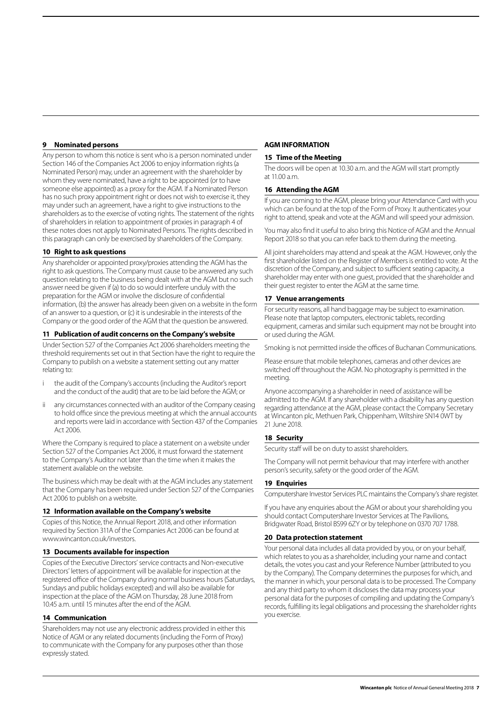## **9 Nominated persons**

Any person to whom this notice is sent who is a person nominated under Section 146 of the Companies Act 2006 to enjoy information rights (a Nominated Person) may, under an agreement with the shareholder by whom they were nominated, have a right to be appointed (or to have someone else appointed) as a proxy for the AGM. If a Nominated Person has no such proxy appointment right or does not wish to exercise it, they may under such an agreement, have a right to give instructions to the shareholders as to the exercise of voting rights. The statement of the rights of shareholders in relation to appointment of proxies in paragraph 4 of these notes does not apply to Nominated Persons. The rights described in this paragraph can only be exercised by shareholders of the Company.

## **10 Right to ask questions**

Any shareholder or appointed proxy/proxies attending the AGM has the right to ask questions. The Company must cause to be answered any such question relating to the business being dealt with at the AGM but no such answer need be given if (a) to do so would interfere unduly with the preparation for the AGM or involve the disclosure of confidential information, (b) the answer has already been given on a website in the form of an answer to a question, or (c) it is undesirable in the interests of the Company or the good order of the AGM that the question be answered.

## **11 Publication of audit concerns on the Company's website**

Under Section 527 of the Companies Act 2006 shareholders meeting the threshold requirements set out in that Section have the right to require the Company to publish on a website a statement setting out any matter relating to:

- the audit of the Company's accounts (including the Auditor's report and the conduct of the audit) that are to be laid before the AGM; or
- ii any circumstances connected with an auditor of the Company ceasing to hold office since the previous meeting at which the annual accounts and reports were laid in accordance with Section 437 of the Companies Act 2006.

Where the Company is required to place a statement on a website under Section 527 of the Companies Act 2006, it must forward the statement to the Company's Auditor not later than the time when it makes the statement available on the website.

The business which may be dealt with at the AGM includes any statement that the Company has been required under Section 527 of the Companies Act 2006 to publish on a website.

## **12 Information available on the Company's website**

Copies of this Notice, the Annual Report 2018, and other information required by Section 311A of the Companies Act 2006 can be found at www.wincanton.co.uk/investors.

## **13 Documents available for inspection**

Copies of the Executive Directors' service contracts and Non-executive Directors' letters of appointment will be available for inspection at the registered office of the Company during normal business hours (Saturdays, Sundays and public holidays excepted) and will also be available for inspection at the place of the AGM on Thursday, 28 June 2018 from 10.45 a.m. until 15 minutes after the end of the AGM.

## **14 Communication**

Shareholders may not use any electronic address provided in either this Notice of AGM or any related documents (including the Form of Proxy) to communicate with the Company for any purposes other than those expressly stated.

## **AGM INFORMATION**

## **15 Time of the Meeting**

The doors will be open at 10.30 a.m. and the AGM will start promptly at 11.00 a.m.

## **16 Attending the AGM**

If you are coming to the AGM, please bring your Attendance Card with you which can be found at the top of the Form of Proxy. It authenticates your right to attend, speak and vote at the AGM and will speed your admission.

You may also find it useful to also bring this Notice of AGM and the Annual Report 2018 so that you can refer back to them during the meeting.

All joint shareholders may attend and speak at the AGM. However, only the first shareholder listed on the Register of Members is entitled to vote. At the discretion of the Company, and subject to sufficient seating capacity, a shareholder may enter with one guest, provided that the shareholder and their guest register to enter the AGM at the same time.

### **17 Venue arrangements**

For security reasons, all hand baggage may be subject to examination. Please note that laptop computers, electronic tablets, recording equipment, cameras and similar such equipment may not be brought into or used during the AGM.

Smoking is not permitted inside the offices of Buchanan Communications.

Please ensure that mobile telephones, cameras and other devices are switched off throughout the AGM. No photography is permitted in the meeting.

Anyone accompanying a shareholder in need of assistance will be admitted to the AGM. If any shareholder with a disability has any question regarding attendance at the AGM, please contact the Company Secretary at Wincanton plc, Methuen Park, Chippenham, Wiltshire SN14 0WT by 21 June 2018.

## **18 Security**

Security staff will be on duty to assist shareholders.

The Company will not permit behaviour that may interfere with another person's security, safety or the good order of the AGM.

## **19 Enquiries**

Computershare Investor Services PLC maintains the Company's share register.

If you have any enquiries about the AGM or about your shareholding you should contact Computershare Investor Services at The Pavilions, Bridgwater Road, Bristol BS99 6ZY or by telephone on 0370 707 1788.

#### **20 Data protection statement**

Your personal data includes all data provided by you, or on your behalf, which relates to you as a shareholder, including your name and contact details, the votes you cast and your Reference Number (attributed to you by the Company). The Company determines the purposes for which, and the manner in which, your personal data is to be processed. The Company and any third party to whom it discloses the data may process your personal data for the purposes of compiling and updating the Company's records, fulfilling its legal obligations and processing the shareholder rights you exercise.